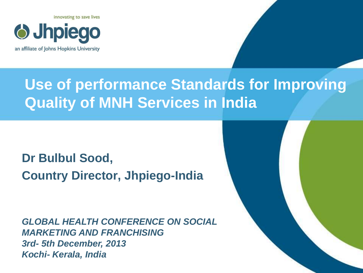



## **Use of performance Standards for Improving Quality of MNH Services in India**

#### **Dr Bulbul Sood, Country Director, Jhpiego-India**

*GLOBAL HEALTH CONFERENCE ON SOCIAL MARKETING AND FRANCHISING 3rd- 5th December, 2013 Kochi- Kerala, India*

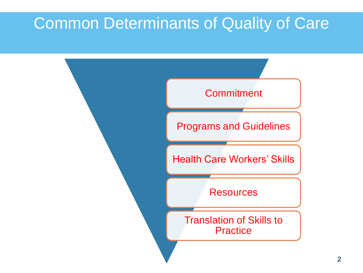### Common Determinants of Quality of Care

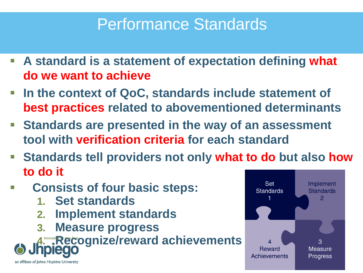## Performance Standards

- **A standard is a statement of expectation defining what do we want to achieve**
- **In the context of QoC, standards include statement of best practices related to abovementioned determinants**
- **Standards are presented in the way of an assessment tool with verification criteria for each standard**
- **Standards tell providers not only what to do but also how to do it**
- **Consists of four basic steps:**
	- **1. Set standards**
	- **2. Implement standards**
	- **3. Measure progress**

**A. P. Recognize/reward achievements** 



an affiliate of Johns Hopkins University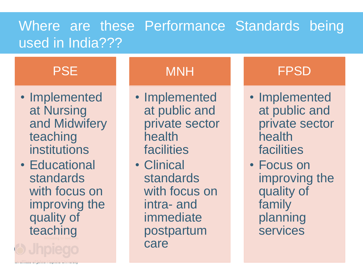#### Where are these Performance Standards being used in India???

#### **PSE**

- Implemented at Nursing and Midwifery teaching institutions
- Educational standards with focus on improving the quality of teaching

MNH

- Implemented at public and private sector health **facilities**
- Clinical standards with focus on intra- and immediate postpartum care

#### FPSD

- Implemented at public and private sector health facilities
- Focus on improving the quality of family planning services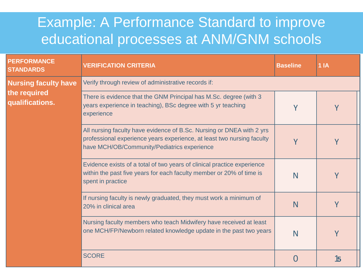#### Example: A Performance Standard to improve educational processes at ANM/GNM schools

| <b>PERFORMANCE</b><br><b>STANDARDS</b> | <b>VERIFICATION CRITERIA</b>                                                                                                                                                                   | <b>Baseline</b> | 1 <sub>1</sub> |
|----------------------------------------|------------------------------------------------------------------------------------------------------------------------------------------------------------------------------------------------|-----------------|----------------|
| <b>Nursing faculty have</b>            | Verify through review of administrative records if:                                                                                                                                            |                 |                |
| the required<br>qualifications.        | There is evidence that the GNM Principal has M.Sc. degree (with 3<br>years experience in teaching), BSc degree with 5 yr teaching<br>experience                                                | Y               |                |
|                                        | All nursing faculty have evidence of B.Sc. Nursing or DNEA with 2 yrs<br>professional experience years experience, at least two nursing faculty<br>have MCH/OB/Community/Pediatrics experience | Y               |                |
|                                        | Evidence exists of a total of two years of clinical practice experience<br>within the past five years for each faculty member or 20% of time is<br>spent in practice                           | N               | Y              |
|                                        | If nursing faculty is newly graduated, they must work a minimum of<br>20% in clinical area                                                                                                     | N               | Y              |
|                                        | Nursing faculty members who teach Midwifery have received at least<br>one MCH/FP/Newborn related knowledge update in the past two years                                                        | N               | Υ              |
|                                        | <b>SCORE</b>                                                                                                                                                                                   |                 | 15             |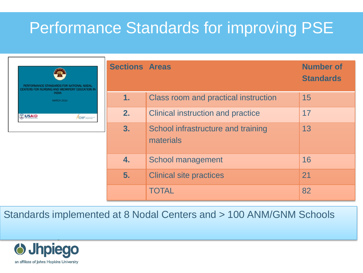## Performance Standards for improving PSE

|              | PERFORMANCE STANDARDS FOR NATIONAL NODAL<br>CENTERS FOR NURSING AND MIDWIFERY EDUCATION IN<br><b>INDIA</b> |
|--------------|------------------------------------------------------------------------------------------------------------|
|              | <b>MARCH 2010</b>                                                                                          |
| <b>USAID</b> |                                                                                                            |
|              | <b>CHIP</b>                                                                                                |

| <b>Sections Areas</b> |                                                 | <b>Number of</b><br><b>Standards</b> |
|-----------------------|-------------------------------------------------|--------------------------------------|
| 1.                    | Class room and practical instruction            | 15                                   |
| 2.                    | <b>Clinical instruction and practice</b>        | 17                                   |
| 3.                    | School infrastructure and training<br>materials | 13                                   |
| 4.                    | <b>School management</b>                        | 16                                   |
| 5.                    | <b>Clinical site practices</b>                  | 21                                   |
|                       | TOTAL                                           | 82                                   |

Standards implemented at 8 Nodal Centers and > 100 ANM/GNM Schools

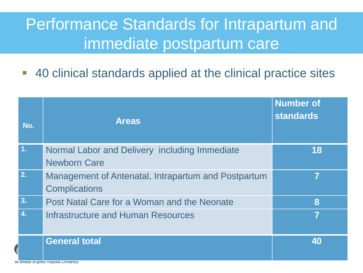## Performance Standards for Intrapartum and immediate postpartum care

■ 40 clinical standards applied at the clinical practice sites

|                          | No. | <b>Areas</b>                                                                | <b>Number of</b><br><b>standards</b> |
|--------------------------|-----|-----------------------------------------------------------------------------|--------------------------------------|
|                          | 1.  | Normal Labor and Delivery including Immediate<br><b>Newborn Care</b>        | 18                                   |
|                          | 2.  | Management of Antenatal, Intrapartum and Postpartum<br><b>Complications</b> | 7                                    |
|                          | 3.  | Post Natal Care for a Woman and the Neonate                                 | 8                                    |
|                          | 4.  | Infrastructure and Human Resources                                          | 7                                    |
| $\overline{\mathcal{A}}$ |     | <b>General total</b><br>an amiliate of Johns Hopkins University             | 40                                   |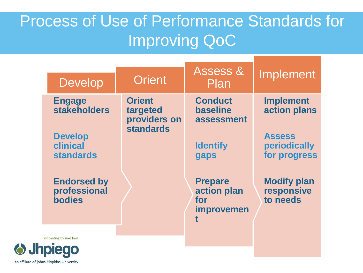## Process of Use of Performance Standards for Improving QoC

| <b>Develop</b>                                      | <b>Orient</b>                                                 | <b>Assess &amp;</b><br>Plan                                    | Implement                                         |
|-----------------------------------------------------|---------------------------------------------------------------|----------------------------------------------------------------|---------------------------------------------------|
| <b>Engage</b><br><b>stakeholders</b>                | <b>Orient</b><br>targeted<br>providers on<br><b>standards</b> | <b>Conduct</b><br><b>baseline</b><br>assessment                | <b>Implement</b><br>action plans<br><b>Assess</b> |
| <b>Develop</b><br>clinical<br><b>standards</b>      |                                                               | <b>Identify</b><br>gaps                                        | periodically<br>for progress                      |
| <b>Endorsed by</b><br>professional<br><b>bodies</b> |                                                               | <b>Prepare</b><br>action plan<br>for<br><i>improvemen</i><br>t | <b>Modify plan</b><br>responsive<br>to needs      |
| innovating to save lives                            |                                                               |                                                                |                                                   |

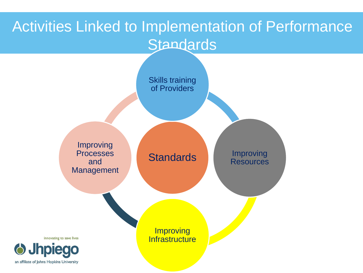### Activities Linked to Implementation of Performance **Standards**

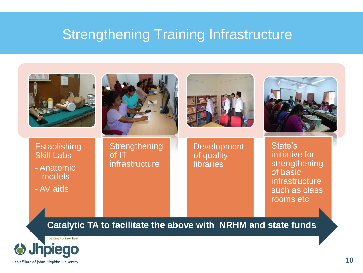#### Strengthening Training Infrastructure

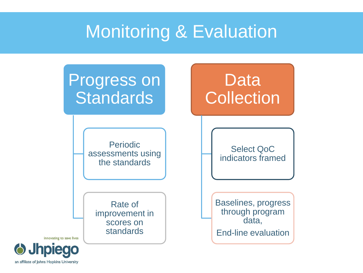## Monitoring & Evaluation



innovating to save lives

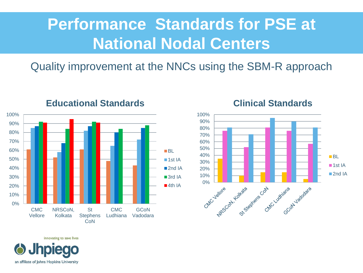## **Performance Standards for PSE at National Nodal Centers**

Quality improvement at the NNCs using the SBM-R approach



#### **Educational Standards**

#### **Clinical Standards**



**Jhpiego** an affiliate of Johns Hopkins University

innovating to save lives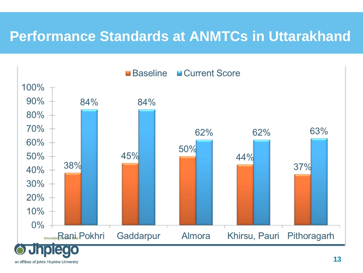#### **Performance Standards at ANMTCs in Uttarakhand**



an affiliate of Johns Hopkins University

**13**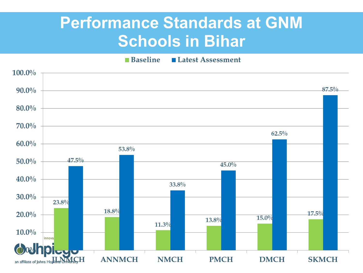## **Performance Standards at GNM Schools in Bihar**

**Baseline** Latest Assessment

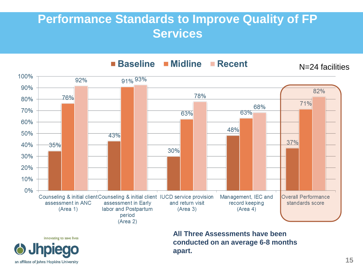#### **Performance Standards to Improve Quality of FP Services**



**All Three Assessments have been conducted on an average 6-8 months apart.**



innovating to save lives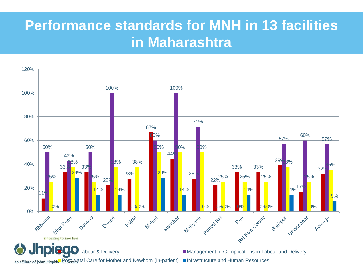#### **Performance standards for MNH in 13 facilities in Maharashtra**

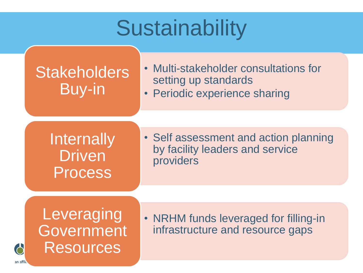# **Sustainability**

### **Stakeholders** Buy-in

- Multi-stakeholder consultations for setting up standards
- Periodic experience sharing

**Internally Driven** Process

• Self assessment and action planning by facility leaders and service providers

**Leveraging** Government Resources

6

an affi

• NRHM funds leveraged for filling-in infrastructure and resource gaps